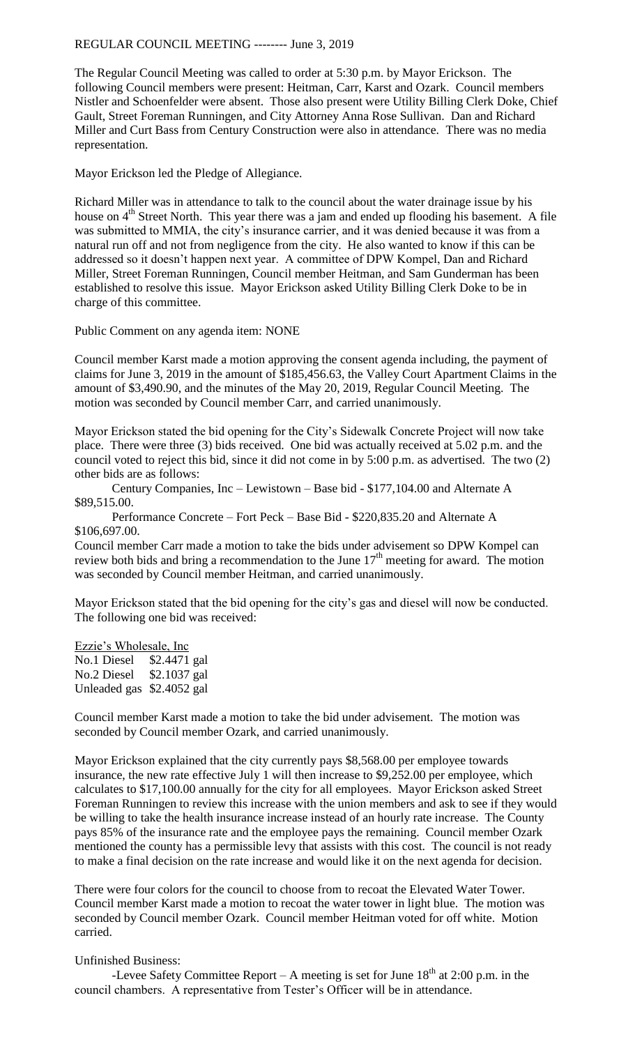## REGULAR COUNCIL MEETING -------- June 3, 2019

The Regular Council Meeting was called to order at 5:30 p.m. by Mayor Erickson. The following Council members were present: Heitman, Carr, Karst and Ozark. Council members Nistler and Schoenfelder were absent. Those also present were Utility Billing Clerk Doke, Chief Gault, Street Foreman Runningen, and City Attorney Anna Rose Sullivan. Dan and Richard Miller and Curt Bass from Century Construction were also in attendance. There was no media representation.

Mayor Erickson led the Pledge of Allegiance.

Richard Miller was in attendance to talk to the council about the water drainage issue by his house on 4<sup>th</sup> Street North. This year there was a jam and ended up flooding his basement. A file was submitted to MMIA, the city's insurance carrier, and it was denied because it was from a natural run off and not from negligence from the city. He also wanted to know if this can be addressed so it doesn't happen next year. A committee of DPW Kompel, Dan and Richard Miller, Street Foreman Runningen, Council member Heitman, and Sam Gunderman has been established to resolve this issue. Mayor Erickson asked Utility Billing Clerk Doke to be in charge of this committee.

Public Comment on any agenda item: NONE

Council member Karst made a motion approving the consent agenda including, the payment of claims for June 3, 2019 in the amount of \$185,456.63, the Valley Court Apartment Claims in the amount of \$3,490.90, and the minutes of the May 20, 2019, Regular Council Meeting. The motion was seconded by Council member Carr, and carried unanimously.

Mayor Erickson stated the bid opening for the City's Sidewalk Concrete Project will now take place. There were three (3) bids received. One bid was actually received at 5.02 p.m. and the council voted to reject this bid, since it did not come in by 5:00 p.m. as advertised. The two (2) other bids are as follows:

Century Companies, Inc – Lewistown – Base bid - \$177,104.00 and Alternate A \$89,515.00.

Performance Concrete – Fort Peck – Base Bid - \$220,835.20 and Alternate A \$106,697.00.

Council member Carr made a motion to take the bids under advisement so DPW Kompel can review both bids and bring a recommendation to the June  $17<sup>th</sup>$  meeting for award. The motion was seconded by Council member Heitman, and carried unanimously.

Mayor Erickson stated that the bid opening for the city's gas and diesel will now be conducted. The following one bid was received:

Ezzie's Wholesale, Inc No.1 Diesel \$2.4471 gal No.2 Diesel \$2.1037 gal Unleaded gas \$2.4052 gal

Council member Karst made a motion to take the bid under advisement. The motion was seconded by Council member Ozark, and carried unanimously.

Mayor Erickson explained that the city currently pays \$8,568.00 per employee towards insurance, the new rate effective July 1 will then increase to \$9,252.00 per employee, which calculates to \$17,100.00 annually for the city for all employees. Mayor Erickson asked Street Foreman Runningen to review this increase with the union members and ask to see if they would be willing to take the health insurance increase instead of an hourly rate increase. The County pays 85% of the insurance rate and the employee pays the remaining. Council member Ozark mentioned the county has a permissible levy that assists with this cost. The council is not ready to make a final decision on the rate increase and would like it on the next agenda for decision.

There were four colors for the council to choose from to recoat the Elevated Water Tower. Council member Karst made a motion to recoat the water tower in light blue. The motion was seconded by Council member Ozark. Council member Heitman voted for off white. Motion carried.

## Unfinished Business:

-Levee Safety Committee Report – A meeting is set for June  $18<sup>th</sup>$  at 2:00 p.m. in the council chambers. A representative from Tester's Officer will be in attendance.